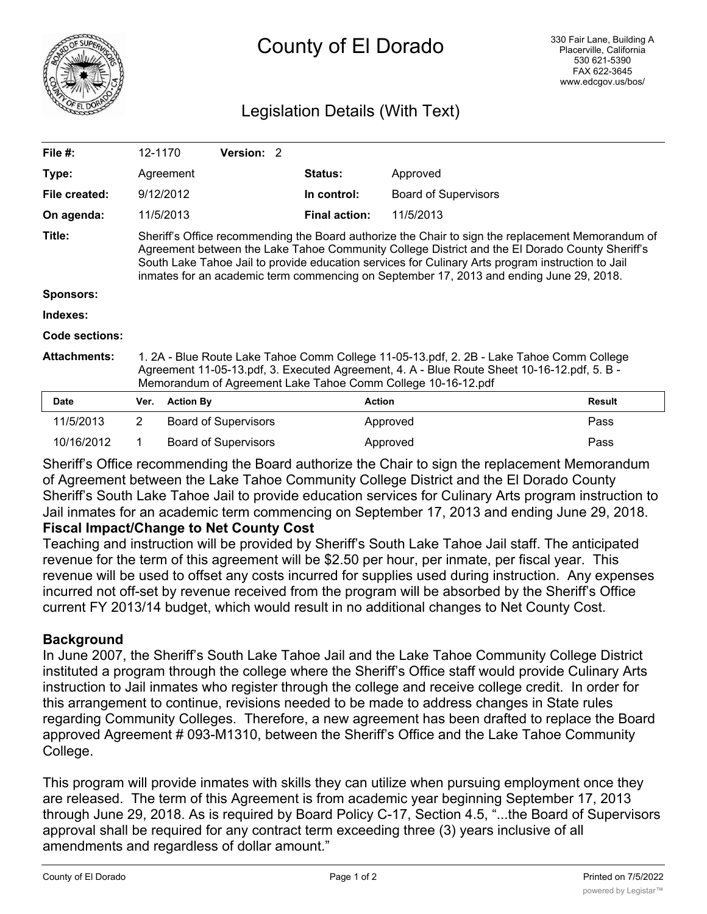

# County of El Dorado

# Legislation Details (With Text)

| File $#$ :          | 12-1170                                                                                                                                                                                                                                                                                                                                                                                             |                  | <b>Version: 2</b>           |  |                      |                             |               |
|---------------------|-----------------------------------------------------------------------------------------------------------------------------------------------------------------------------------------------------------------------------------------------------------------------------------------------------------------------------------------------------------------------------------------------------|------------------|-----------------------------|--|----------------------|-----------------------------|---------------|
| Type:               |                                                                                                                                                                                                                                                                                                                                                                                                     | Agreement        |                             |  | Status:              | Approved                    |               |
| File created:       |                                                                                                                                                                                                                                                                                                                                                                                                     | 9/12/2012        |                             |  | In control:          | <b>Board of Supervisors</b> |               |
| On agenda:          |                                                                                                                                                                                                                                                                                                                                                                                                     | 11/5/2013        |                             |  | <b>Final action:</b> | 11/5/2013                   |               |
| Title:              | Sheriff's Office recommending the Board authorize the Chair to sign the replacement Memorandum of<br>Agreement between the Lake Tahoe Community College District and the El Dorado County Sheriff's<br>South Lake Tahoe Jail to provide education services for Culinary Arts program instruction to Jail<br>inmates for an academic term commencing on September 17, 2013 and ending June 29, 2018. |                  |                             |  |                      |                             |               |
| <b>Sponsors:</b>    |                                                                                                                                                                                                                                                                                                                                                                                                     |                  |                             |  |                      |                             |               |
| Indexes:            |                                                                                                                                                                                                                                                                                                                                                                                                     |                  |                             |  |                      |                             |               |
| Code sections:      |                                                                                                                                                                                                                                                                                                                                                                                                     |                  |                             |  |                      |                             |               |
| <b>Attachments:</b> | 1. 2A - Blue Route Lake Tahoe Comm College 11-05-13.pdf, 2. 2B - Lake Tahoe Comm College<br>Agreement 11-05-13.pdf, 3. Executed Agreement, 4. A - Blue Route Sheet 10-16-12.pdf, 5. B -<br>Memorandum of Agreement Lake Tahoe Comm College 10-16-12.pdf                                                                                                                                             |                  |                             |  |                      |                             |               |
| <b>Date</b>         | Ver.                                                                                                                                                                                                                                                                                                                                                                                                | <b>Action By</b> |                             |  | <b>Action</b>        |                             | <b>Result</b> |
| 11/5/2013           | $\overline{2}$                                                                                                                                                                                                                                                                                                                                                                                      |                  | <b>Board of Supervisors</b> |  |                      | Approved                    | Pass          |

Sheriff's Office recommending the Board authorize the Chair to sign the replacement Memorandum of Agreement between the Lake Tahoe Community College District and the El Dorado County Sheriff's South Lake Tahoe Jail to provide education services for Culinary Arts program instruction to Jail inmates for an academic term commencing on September 17, 2013 and ending June 29, 2018.

10/16/2012 1 Board of Supervisors Approved Approved Pass

#### **Fiscal Impact/Change to Net County Cost**

Teaching and instruction will be provided by Sheriff's South Lake Tahoe Jail staff. The anticipated revenue for the term of this agreement will be \$2.50 per hour, per inmate, per fiscal year. This revenue will be used to offset any costs incurred for supplies used during instruction. Any expenses incurred not off-set by revenue received from the program will be absorbed by the Sheriff's Office current FY 2013/14 budget, which would result in no additional changes to Net County Cost.

## **Background**

In June 2007, the Sheriff's South Lake Tahoe Jail and the Lake Tahoe Community College District instituted a program through the college where the Sheriff's Office staff would provide Culinary Arts instruction to Jail inmates who register through the college and receive college credit. In order for this arrangement to continue, revisions needed to be made to address changes in State rules regarding Community Colleges. Therefore, a new agreement has been drafted to replace the Board approved Agreement # 093-M1310, between the Sheriff's Office and the Lake Tahoe Community College.

This program will provide inmates with skills they can utilize when pursuing employment once they are released. The term of this Agreement is from academic year beginning September 17, 2013 through June 29, 2018. As is required by Board Policy C-17, Section 4.5, "...the Board of Supervisors approval shall be required for any contract term exceeding three (3) years inclusive of all amendments and regardless of dollar amount."